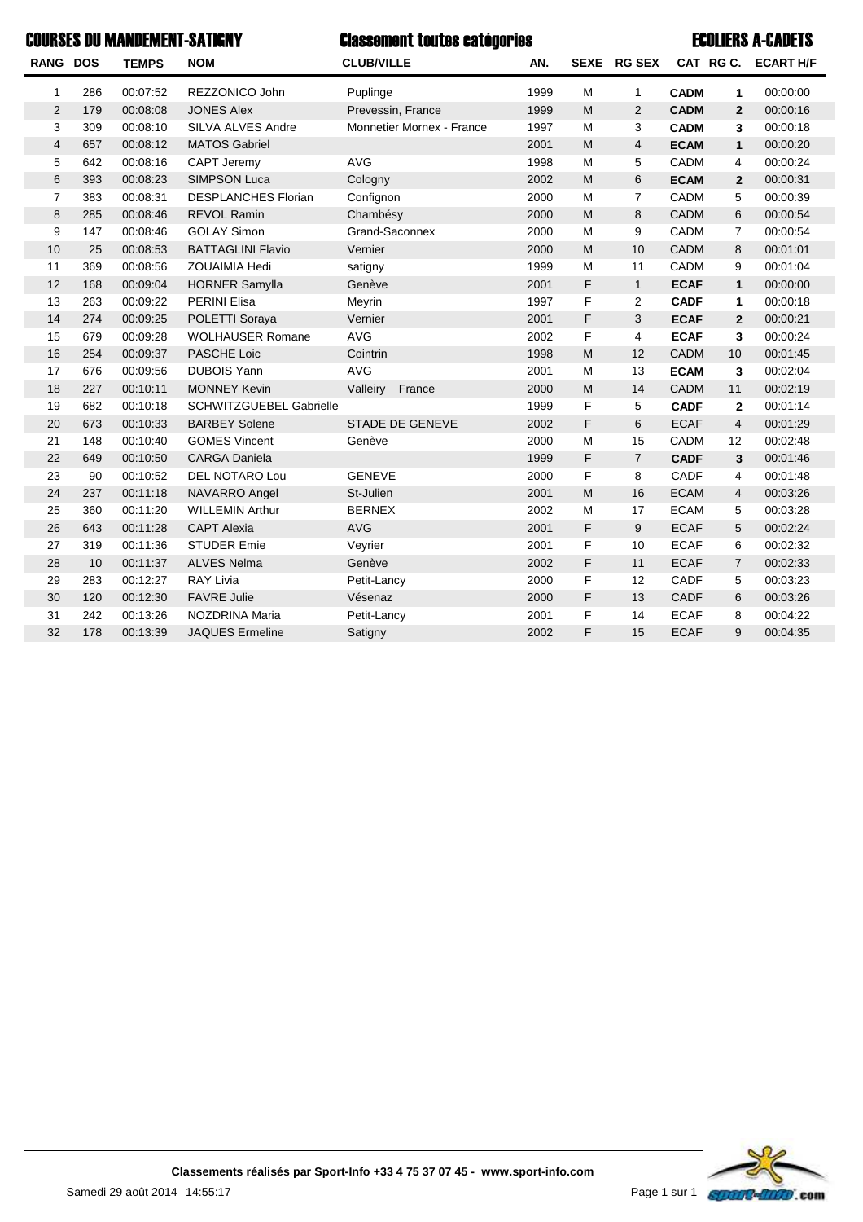|                 |     | <b>COURSES DU MANDEMENT-SATIGNY</b> |                            | <b>Classement toutes catégories</b> |      |                                                                                       |                |             |                | <b>ECOLIERS A-CADETS</b> |
|-----------------|-----|-------------------------------------|----------------------------|-------------------------------------|------|---------------------------------------------------------------------------------------|----------------|-------------|----------------|--------------------------|
| <b>RANG DOS</b> |     | <b>TEMPS</b>                        | <b>NOM</b>                 | <b>CLUB/VILLE</b>                   | AN.  |                                                                                       | SEXE RG SEX    |             |                | CAT RG C. ECART H/F      |
| 1               | 286 | 00:07:52                            | REZZONICO John             | Puplinge                            | 1999 | M                                                                                     | $\mathbf{1}$   | <b>CADM</b> | 1              | 00:00:00                 |
| $\overline{2}$  | 179 | 00:08:08                            | <b>JONES Alex</b>          | Prevessin, France                   | 1999 | M                                                                                     | $\overline{2}$ | <b>CADM</b> | $\overline{2}$ | 00:00:16                 |
| 3               | 309 | 00:08:10                            | <b>SILVA ALVES Andre</b>   | <b>Monnetier Mornex - France</b>    | 1997 | M                                                                                     | 3              | <b>CADM</b> | 3              | 00:00:18                 |
| $\overline{4}$  | 657 | 00:08:12                            | <b>MATOS Gabriel</b>       |                                     | 2001 | M                                                                                     | $\overline{4}$ | <b>ECAM</b> | $\mathbf{1}$   | 00:00:20                 |
| 5               | 642 | 00:08:16                            | CAPT Jeremy                | <b>AVG</b>                          | 1998 | M                                                                                     | 5              | <b>CADM</b> | 4              | 00:00:24                 |
| 6               | 393 | 00:08:23                            | <b>SIMPSON Luca</b>        | Cologny                             | 2002 | $\mathsf{M}% _{T}=\mathsf{M}_{T}\!\left( a,b\right) ,\ \mathsf{M}_{T}=\mathsf{M}_{T}$ | 6              | <b>ECAM</b> | $\overline{2}$ | 00:00:31                 |
| $\overline{7}$  | 383 | 00:08:31                            | <b>DESPLANCHES Florian</b> | Confignon                           | 2000 | M                                                                                     | $\overline{7}$ | CADM        | 5              | 00:00:39                 |
| 8               | 285 | 00:08:46                            | <b>REVOL Ramin</b>         | Chambésy                            | 2000 | M                                                                                     | 8              | <b>CADM</b> | 6              | 00:00:54                 |
| 9               | 147 | 00:08:46                            | <b>GOLAY Simon</b>         | Grand-Saconnex                      | 2000 | M                                                                                     | 9              | <b>CADM</b> | $\overline{7}$ | 00:00:54                 |
| 10              | 25  | 00:08:53                            | <b>BATTAGLINI Flavio</b>   | Vernier                             | 2000 | M                                                                                     | 10             | <b>CADM</b> | 8              | 00:01:01                 |
| 11              | 369 | 00:08:56                            | <b>ZOUAIMIA Hedi</b>       | satigny                             | 1999 | M                                                                                     | 11             | <b>CADM</b> | 9              | 00:01:04                 |
| 12              | 168 | 00:09:04                            | <b>HORNER Samylla</b>      | Genève                              | 2001 | F                                                                                     | $\mathbf{1}$   | <b>ECAF</b> | $\mathbf{1}$   | 00:00:00                 |
| 13              | 263 | 00:09:22                            | <b>PERINI Elisa</b>        | Meyrin                              | 1997 | F                                                                                     | $\overline{2}$ | <b>CADF</b> | 1              | 00:00:18                 |
| 14              | 274 | 00:09:25                            | POLETTI Soraya             | Vernier                             | 2001 | F                                                                                     | 3              | <b>ECAF</b> | $\overline{2}$ | 00:00:21                 |
| 15              | 679 | 00:09:28                            | <b>WOLHAUSER Romane</b>    | <b>AVG</b>                          | 2002 | F                                                                                     | 4              | <b>ECAF</b> | 3              | 00:00:24                 |
| 16              | 254 | 00:09:37                            | PASCHE Loic                | Cointrin                            | 1998 | M                                                                                     | 12             | <b>CADM</b> | 10             | 00:01:45                 |
| 17              | 676 | 00:09:56                            | <b>DUBOIS Yann</b>         | <b>AVG</b>                          | 2001 | M                                                                                     | 13             | <b>ECAM</b> | 3              | 00:02:04                 |
| 18              | 227 | 00:10:11                            | <b>MONNEY Kevin</b>        | Valleiry<br>France                  | 2000 | $\mathsf{M}% _{T}=\mathsf{M}_{T}\!\left( a,b\right) ,\ \mathsf{M}_{T}=\mathsf{M}_{T}$ | 14             | CADM        | 11             | 00:02:19                 |
| 19              | 682 | 00:10:18                            | SCHWITZGUEBEL Gabrielle    |                                     | 1999 | F                                                                                     | 5              | <b>CADF</b> | $\mathbf{2}$   | 00:01:14                 |
| 20              | 673 | 00:10:33                            | <b>BARBEY Solene</b>       | <b>STADE DE GENEVE</b>              | 2002 | F                                                                                     | 6              | <b>ECAF</b> | $\overline{4}$ | 00:01:29                 |
| 21              | 148 | 00:10:40                            | <b>GOMES Vincent</b>       | Genève                              | 2000 | M                                                                                     | 15             | CADM        | 12             | 00:02:48                 |
| 22              | 649 | 00:10:50                            | <b>CARGA Daniela</b>       |                                     | 1999 | F                                                                                     | $\overline{7}$ | <b>CADF</b> | 3              | 00:01:46                 |
| 23              | 90  | 00:10:52                            | <b>DEL NOTARO Lou</b>      | <b>GENEVE</b>                       | 2000 | F                                                                                     | 8              | CADF        | 4              | 00:01:48                 |
| 24              | 237 | 00:11:18                            | NAVARRO Angel              | St-Julien                           | 2001 | M                                                                                     | 16             | <b>ECAM</b> | $\overline{4}$ | 00:03:26                 |
| 25              | 360 | 00:11:20                            | <b>WILLEMIN Arthur</b>     | <b>BERNEX</b>                       | 2002 | M                                                                                     | 17             | <b>ECAM</b> | 5              | 00:03:28                 |
| 26              | 643 | 00:11:28                            | <b>CAPT Alexia</b>         | <b>AVG</b>                          | 2001 | F                                                                                     | 9              | <b>ECAF</b> | 5              | 00:02:24                 |
| 27              | 319 | 00:11:36                            | <b>STUDER Emie</b>         | Veyrier                             | 2001 | F                                                                                     | 10             | <b>ECAF</b> | 6              | 00:02:32                 |
| 28              | 10  | 00:11:37                            | <b>ALVES Nelma</b>         | Genève                              | 2002 | F                                                                                     | 11             | <b>ECAF</b> | $\overline{7}$ | 00:02:33                 |
| 29              | 283 | 00:12:27                            | <b>RAY Livia</b>           | Petit-Lancy                         | 2000 | F                                                                                     | 12             | CADF        | 5              | 00:03:23                 |
| 30              | 120 | 00:12:30                            | <b>FAVRE Julie</b>         | Vésenaz                             | 2000 | F                                                                                     | 13             | <b>CADF</b> | 6              | 00:03:26                 |
| 31              | 242 | 00:13:26                            | NOZDRINA Maria             | Petit-Lancy                         | 2001 | F                                                                                     | 14             | <b>ECAF</b> | 8              | 00:04:22                 |
| 32              | 178 | 00:13:39                            | <b>JAQUES Ermeline</b>     | Satigny                             | 2002 | F                                                                                     | 15             | <b>ECAF</b> | 9              | 00:04:35                 |

Samedi 29 août 2014 14:55:17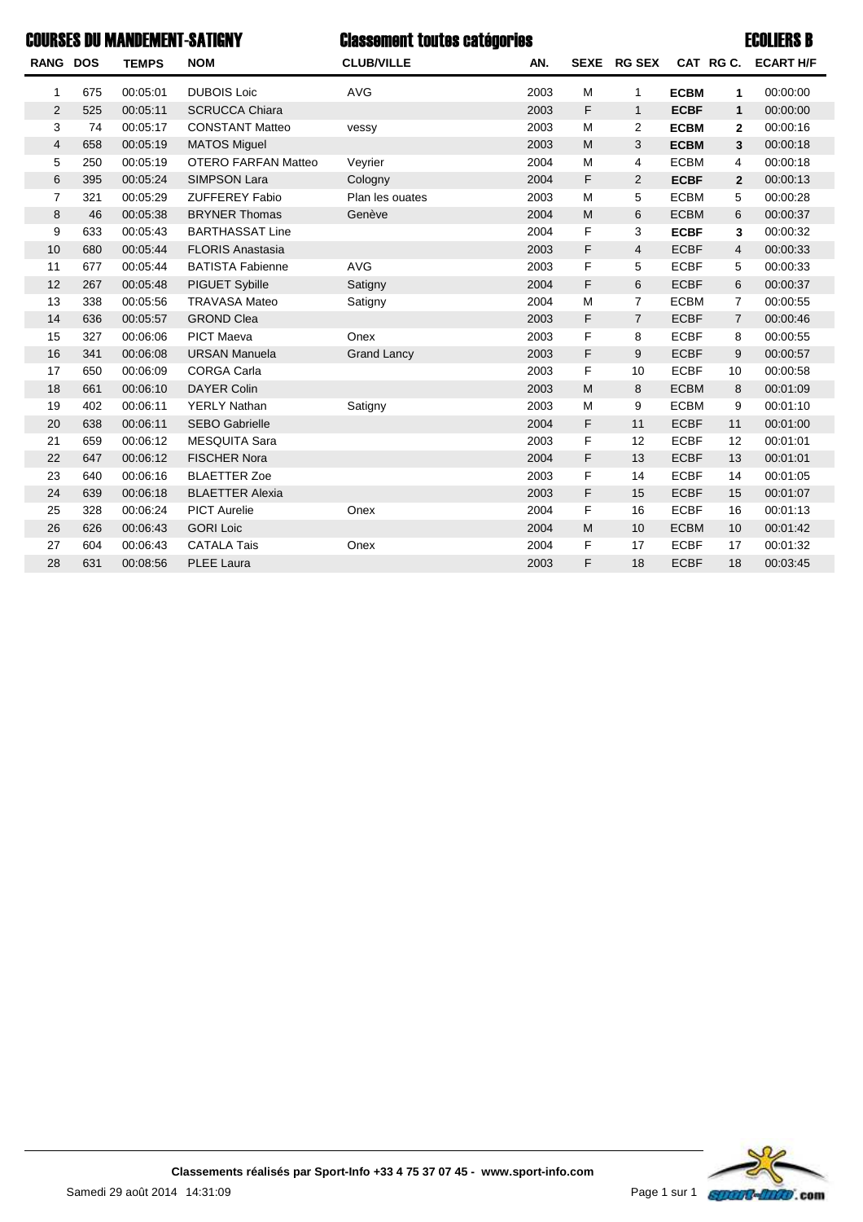## Classement toutes catégories COURSES DU MANDEMENT-SATIGNY ECOLIERS B

| <b>RANG DOS</b> |     | <b>TEMPS</b> | <b>NOM</b>                 | <b>CLUB/VILLE</b>  | AN.  | <b>SEXE</b> | <b>RG SEX</b>  |             | CAT RGC.       | <b>ECART H/F</b> |
|-----------------|-----|--------------|----------------------------|--------------------|------|-------------|----------------|-------------|----------------|------------------|
| 1               | 675 | 00:05:01     | <b>DUBOIS Loic</b>         | <b>AVG</b>         | 2003 | M           | 1              | <b>ECBM</b> | 1              | 00:00:00         |
| 2               | 525 | 00:05:11     | <b>SCRUCCA Chiara</b>      |                    | 2003 | F           | $\mathbf{1}$   | <b>ECBF</b> | $\mathbf{1}$   | 00:00:00         |
| 3               | 74  | 00:05:17     | <b>CONSTANT Matteo</b>     | vessy              | 2003 | M           | 2              | <b>ECBM</b> | $\mathbf{2}$   | 00:00:16         |
| 4               | 658 | 00:05:19     | <b>MATOS Miguel</b>        |                    | 2003 | M           | 3              | <b>ECBM</b> | 3              | 00:00:18         |
| 5               | 250 | 00:05:19     | <b>OTERO FARFAN Matteo</b> | Veyrier            | 2004 | M           | 4              | <b>ECBM</b> | 4              | 00:00:18         |
| 6               | 395 | 00:05:24     | <b>SIMPSON Lara</b>        | Cologny            | 2004 | F           | $\overline{c}$ | <b>ECBF</b> | $\overline{2}$ | 00:00:13         |
| $\overline{7}$  | 321 | 00:05:29     | <b>ZUFFEREY Fabio</b>      | Plan les ouates    | 2003 | M           | 5              | <b>ECBM</b> | 5              | 00:00:28         |
| 8               | 46  | 00:05:38     | <b>BRYNER Thomas</b>       | Genève             | 2004 | M           | 6              | <b>ECBM</b> | 6              | 00:00:37         |
| 9               | 633 | 00:05:43     | <b>BARTHASSAT Line</b>     |                    | 2004 | F           | 3              | <b>ECBF</b> | 3              | 00:00:32         |
| 10              | 680 | 00:05:44     | <b>FLORIS Anastasia</b>    |                    | 2003 | F           | 4              | <b>ECBF</b> | 4              | 00:00:33         |
| 11              | 677 | 00:05:44     | <b>BATISTA Fabienne</b>    | <b>AVG</b>         | 2003 | F           | 5              | <b>ECBF</b> | 5              | 00:00:33         |
| 12              | 267 | 00:05:48     | PIGUET Sybille             | Satigny            | 2004 | F           | 6              | <b>ECBF</b> | 6              | 00:00:37         |
| 13              | 338 | 00:05:56     | <b>TRAVASA Mateo</b>       | Satigny            | 2004 | M           | $\overline{7}$ | <b>ECBM</b> | $\overline{7}$ | 00:00:55         |
| 14              | 636 | 00:05:57     | <b>GROND Clea</b>          |                    | 2003 | F           | $\overline{7}$ | <b>ECBF</b> | $\overline{7}$ | 00:00:46         |
| 15              | 327 | 00:06:06     | <b>PICT Maeva</b>          | Onex               | 2003 | F           | 8              | <b>ECBF</b> | 8              | 00:00:55         |
| 16              | 341 | 00:06:08     | <b>URSAN Manuela</b>       | <b>Grand Lancy</b> | 2003 | F           | 9              | <b>ECBF</b> | 9              | 00:00:57         |
| 17              | 650 | 00:06:09     | <b>CORGA Carla</b>         |                    | 2003 | F           | 10             | <b>ECBF</b> | 10             | 00:00:58         |
| 18              | 661 | 00:06:10     | <b>DAYER Colin</b>         |                    | 2003 | M           | 8              | <b>ECBM</b> | 8              | 00:01:09         |
| 19              | 402 | 00:06:11     | <b>YERLY Nathan</b>        | Satigny            | 2003 | M           | 9              | <b>ECBM</b> | 9              | 00:01:10         |
| 20              | 638 | 00:06:11     | <b>SEBO Gabrielle</b>      |                    | 2004 | F           | 11             | <b>ECBF</b> | 11             | 00:01:00         |
| 21              | 659 | 00:06:12     | <b>MESQUITA Sara</b>       |                    | 2003 | F           | 12             | <b>ECBF</b> | 12             | 00:01:01         |
| 22              | 647 | 00:06:12     | <b>FISCHER Nora</b>        |                    | 2004 | F           | 13             | <b>ECBF</b> | 13             | 00:01:01         |
| 23              | 640 | 00:06:16     | <b>BLAETTER Zoe</b>        |                    | 2003 | F           | 14             | <b>ECBF</b> | 14             | 00:01:05         |
| 24              | 639 | 00:06:18     | <b>BLAETTER Alexia</b>     |                    | 2003 | F           | 15             | <b>ECBF</b> | 15             | 00:01:07         |
| 25              | 328 | 00:06:24     | <b>PICT Aurelie</b>        | Onex               | 2004 | F           | 16             | <b>ECBF</b> | 16             | 00:01:13         |
| 26              | 626 | 00:06:43     | <b>GORI Loic</b>           |                    | 2004 | M           | 10             | <b>ECBM</b> | 10             | 00:01:42         |
| 27              | 604 | 00:06:43     | <b>CATALA Tais</b>         | Onex               | 2004 | F           | 17             | <b>ECBF</b> | 17             | 00:01:32         |
| 28              | 631 | 00:08:56     | <b>PLEE Laura</b>          |                    | 2003 | F           | 18             | <b>ECBF</b> | 18             | 00:03:45         |

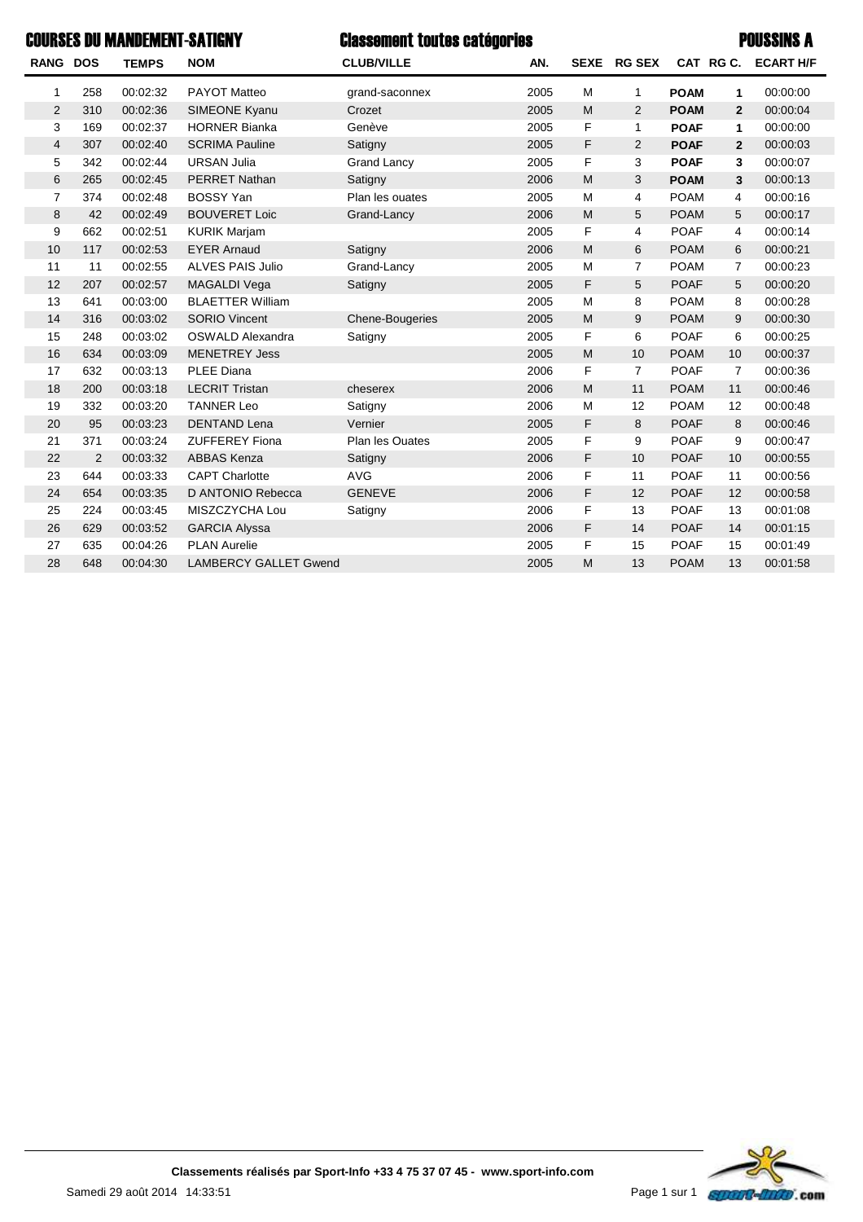| <b>COURSES DU MANDEMENT-SATIGNY</b><br><b>Classement toutes catégories</b> |                |              |                         |                    |      |             |                |             | <b>POUSSINS A</b> |                  |  |
|----------------------------------------------------------------------------|----------------|--------------|-------------------------|--------------------|------|-------------|----------------|-------------|-------------------|------------------|--|
| <b>RANG DOS</b>                                                            |                | <b>TEMPS</b> | <b>NOM</b>              | <b>CLUB/VILLE</b>  | AN.  | <b>SEXE</b> | <b>RG SEX</b>  |             | CAT RG C.         | <b>ECART H/F</b> |  |
| 1                                                                          | 258            | 00:02:32     | PAYOT Matteo            | grand-saconnex     | 2005 | M           | 1              | <b>POAM</b> | 1                 | 00:00:00         |  |
| $\overline{2}$                                                             | 310            | 00:02:36     | SIMEONE Kyanu           | Crozet             | 2005 | M           | 2              | <b>POAM</b> | $\overline{2}$    | 00:00:04         |  |
| 3                                                                          | 169            | 00:02:37     | <b>HORNER Bianka</b>    | Genève             | 2005 | F           | 1              | <b>POAF</b> | 1                 | 00:00:00         |  |
| $\overline{4}$                                                             | 307            | 00:02:40     | <b>SCRIMA Pauline</b>   | Satigny            | 2005 | F           | $\overline{2}$ | <b>POAF</b> | $\mathbf{2}$      | 00:00:03         |  |
| 5                                                                          | 342            | 00:02:44     | <b>URSAN Julia</b>      | <b>Grand Lancy</b> | 2005 | F           | 3              | <b>POAF</b> | 3                 | 00:00:07         |  |
| 6                                                                          | 265            | 00:02:45     | <b>PERRET Nathan</b>    | Satigny            | 2006 | M           | 3              | <b>POAM</b> | 3                 | 00:00:13         |  |
| $\overline{7}$                                                             | 374            | 00:02:48     | <b>BOSSY Yan</b>        | Plan les ouates    | 2005 | M           | 4              | <b>POAM</b> | 4                 | 00:00:16         |  |
| 8                                                                          | 42             | 00:02:49     | <b>BOUVERET Loic</b>    | Grand-Lancy        | 2006 | M           | 5              | <b>POAM</b> | 5                 | 00:00:17         |  |
| 9                                                                          | 662            | 00:02:51     | <b>KURIK Marjam</b>     |                    | 2005 | F           | 4              | <b>POAF</b> | 4                 | 00:00:14         |  |
| 10                                                                         | 117            | 00:02:53     | <b>EYER Arnaud</b>      | Satigny            | 2006 | M           | 6              | <b>POAM</b> | 6                 | 00:00:21         |  |
| 11                                                                         | 11             | 00:02:55     | <b>ALVES PAIS Julio</b> | Grand-Lancy        | 2005 | M           | $\overline{7}$ | <b>POAM</b> | $\overline{7}$    | 00:00:23         |  |
| 12                                                                         | 207            | 00:02:57     | MAGALDI Vega            | Satigny            | 2005 | F           | 5              | <b>POAF</b> | 5                 | 00:00:20         |  |
| 13                                                                         | 641            | 00:03:00     | <b>BLAETTER William</b> |                    | 2005 | M           | 8              | <b>POAM</b> | 8                 | 00:00:28         |  |
| 14                                                                         | 316            | 00:03:02     | <b>SORIO Vincent</b>    | Chene-Bougeries    | 2005 | M           | 9              | <b>POAM</b> | 9                 | 00:00:30         |  |
| 15                                                                         | 248            | 00:03:02     | OSWALD Alexandra        | Satigny            | 2005 | F           | 6              | <b>POAF</b> | 6                 | 00:00:25         |  |
| 16                                                                         | 634            | 00:03:09     | <b>MENETREY Jess</b>    |                    | 2005 | M           | 10             | <b>POAM</b> | 10                | 00:00:37         |  |
| 17                                                                         | 632            | 00:03:13     | <b>PLEE Diana</b>       |                    | 2006 | F           | $\overline{7}$ | <b>POAF</b> | 7                 | 00:00:36         |  |
| 18                                                                         | 200            | 00:03:18     | <b>LECRIT Tristan</b>   | cheserex           | 2006 | M           | 11             | <b>POAM</b> | 11                | 00:00:46         |  |
| 19                                                                         | 332            | 00:03:20     | <b>TANNER Leo</b>       | Satigny            | 2006 | M           | 12             | <b>POAM</b> | 12                | 00:00:48         |  |
| 20                                                                         | 95             | 00:03:23     | <b>DENTAND Lena</b>     | Vernier            | 2005 | F           | 8              | <b>POAF</b> | 8                 | 00:00:46         |  |
| 21                                                                         | 371            | 00:03:24     | <b>ZUFFEREY Fiona</b>   | Plan les Ouates    | 2005 | F           | 9              | <b>POAF</b> | 9                 | 00:00:47         |  |
| 22                                                                         | $\overline{2}$ | 00:03:32     | <b>ABBAS Kenza</b>      | Satigny            | 2006 | F           | 10             | <b>POAF</b> | 10                | 00:00:55         |  |
| 23                                                                         | 644            | 00:03:33     | <b>CAPT Charlotte</b>   | <b>AVG</b>         | 2006 | F           | 11             | <b>POAF</b> | 11                | 00:00:56         |  |
| 24                                                                         | 654            | 00:03:35     | D ANTONIO Rebecca       | <b>GENEVE</b>      | 2006 | F           | 12             | <b>POAF</b> | 12                | 00:00:58         |  |
| 25                                                                         | 224            | 00:03:45     | MISZCZYCHA Lou          | Satigny            | 2006 | F           | 13             | <b>POAF</b> | 13                | 00:01:08         |  |
| 26                                                                         | 629            | 00:03:52     | <b>GARCIA Alyssa</b>    |                    | 2006 | F           | 14             | <b>POAF</b> | 14                | 00:01:15         |  |
| 27                                                                         | 635            | 00:04:26     | <b>PLAN Aurelie</b>     |                    | 2005 | F           | 15             | <b>POAF</b> | 15                | 00:01:49         |  |

28 648 00:04:30 LAMBERCY GALLET Gwend 2005 M 13 POAM 13 00:01:58



Samedi 29 août 2014 14:33:51